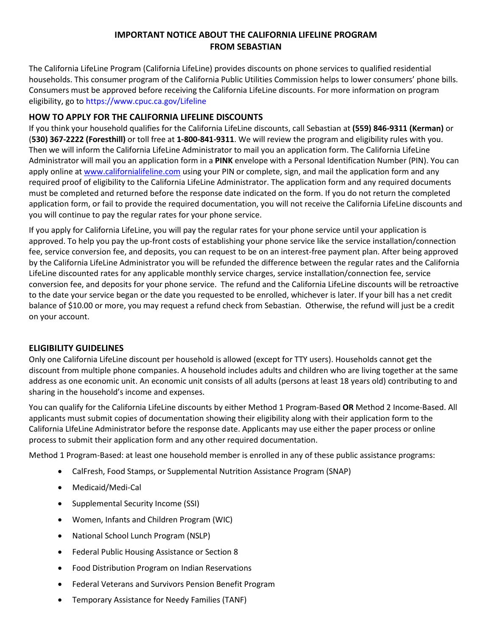# **IMPORTANT NOTICE ABOUT THE CALIFORNIA LIFELINE PROGRAM FROM SEBASTIAN**

The California LifeLine Program (California LifeLine) provides discounts on phone services to qualified residential households. This consumer program of the California Public Utilities Commission helps to lower consumers' phone bills. Consumers must be approved before receiving the California LifeLine discounts. For more information on program eligibility, go to https://www.cpuc.ca.gov/Lifeline

### **HOW TO APPLY FOR THE CALIFORNIA LIFELINE DISCOUNTS**

If you think your household qualifies for the California LifeLine discounts, call Sebastian at **(559) 846-9311 (Kerman)** or (**530) 367-2222 (Foresthill)** or toll free at **1-800-841-9311**. We will review the program and eligibility rules with you. Then we will inform the California LifeLine Administrator to mail you an application form. The California LifeLine Administrator will mail you an application form in a **PINK** envelope with a Personal Identification Number (PIN). You can apply online a[t www.californialifeline.com](http://www.californialifeline.com/) using your PIN or complete, sign, and mail the application form and any required proof of eligibility to the California LifeLine Administrator. The application form and any required documents must be completed and returned before the response date indicated on the form. If you do not return the completed application form, or fail to provide the required documentation, you will not receive the California LifeLine discounts and you will continue to pay the regular rates for your phone service.

If you apply for California LifeLine, you will pay the regular rates for your phone service until your application is approved. To help you pay the up-front costs of establishing your phone service like the service installation/connection fee, service conversion fee, and deposits, you can request to be on an interest-free payment plan. After being approved by the California LifeLine Administrator you will be refunded the difference between the regular rates and the California LifeLine discounted rates for any applicable monthly service charges, service installation/connection fee, service conversion fee, and deposits for your phone service. The refund and the California LifeLine discounts will be retroactive to the date your service began or the date you requested to be enrolled, whichever is later. If your bill has a net credit balance of \$10.00 or more, you may request a refund check from Sebastian. Otherwise, the refund will just be a credit on your account.

# **ELIGIBILITY GUIDELINES**

Only one California LifeLine discount per household is allowed (except for TTY users). Households cannot get the discount from multiple phone companies. A household includes adults and children who are living together at the same address as one economic unit. An economic unit consists of all adults (persons at least 18 years old) contributing to and sharing in the household's income and expenses.

You can qualify for the California LifeLine discounts by either Method 1 Program-Based **OR** Method 2 Income-Based. All applicants must submit copies of documentation showing their eligibility along with their application form to the California LIfeLine Administrator before the response date. Applicants may use either the paper process or online process to submit their application form and any other required documentation.

Method 1 Program-Based: at least one household member is enrolled in any of these public assistance programs:

- CalFresh, Food Stamps, or Supplemental Nutrition Assistance Program (SNAP)
- Medicaid/Medi-Cal
- Supplemental Security Income (SSI)
- Women, Infants and Children Program (WIC)
- National School Lunch Program (NSLP)
- Federal Public Housing Assistance or Section 8
- Food Distribution Program on Indian Reservations
- Federal Veterans and Survivors Pension Benefit Program
- Temporary Assistance for Needy Families (TANF)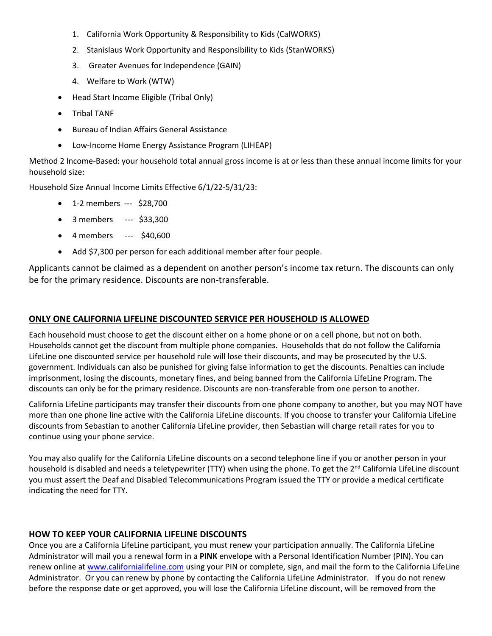- 1. California Work Opportunity & Responsibility to Kids (CalWORKS)
- 2. Stanislaus Work Opportunity and Responsibility to Kids (StanWORKS)
- 3. Greater Avenues for Independence (GAIN)
- 4. Welfare to Work (WTW)
- Head Start Income Eligible (Tribal Only)
- Tribal TANF
- Bureau of Indian Affairs General Assistance
- Low-Income Home Energy Assistance Program (LIHEAP)

Method 2 Income-Based: your household total annual gross income is at or less than these annual income limits for your household size:

Household Size Annual Income Limits Effective 6/1/22-5/31/23:

- 1-2 members --- \$28,700
- 3 members --- \$33,300
- 4 members --- \$40,600
- Add \$7,300 per person for each additional member after four people.

Applicants cannot be claimed as a dependent on another person's income tax return. The discounts can only be for the primary residence. Discounts are non-transferable.

#### **ONLY ONE CALIFORNIA LIFELINE DISCOUNTED SERVICE PER HOUSEHOLD IS ALLOWED**

Each household must choose to get the discount either on a home phone or on a cell phone, but not on both. Households cannot get the discount from multiple phone companies. Households that do not follow the California LifeLine one discounted service per household rule will lose their discounts, and may be prosecuted by the U.S. government. Individuals can also be punished for giving false information to get the discounts. Penalties can include imprisonment, losing the discounts, monetary fines, and being banned from the California LifeLine Program. The discounts can only be for the primary residence. Discounts are non-transferable from one person to another.

California LifeLine participants may transfer their discounts from one phone company to another, but you may NOT have more than one phone line active with the California LifeLine discounts. If you choose to transfer your California LifeLine discounts from Sebastian to another California LifeLine provider, then Sebastian will charge retail rates for you to continue using your phone service.

You may also qualify for the California LifeLine discounts on a second telephone line if you or another person in your household is disabled and needs a teletypewriter (TTY) when using the phone. To get the  $2^{nd}$  California LifeLine discount you must assert the Deaf and Disabled Telecommunications Program issued the TTY or provide a medical certificate indicating the need for TTY.

# **HOW TO KEEP YOUR CALIFORNIA LIFELINE DISCOUNTS**

Once you are a California LifeLine participant, you must renew your participation annually. The California LifeLine Administrator will mail you a renewal form in a **PINK** envelope with a Personal Identification Number (PIN). You can renew online a[t www.californialifeline.com](http://www.californialifeline.com/) using your PIN or complete, sign, and mail the form to the California LifeLine Administrator. Or you can renew by phone by contacting the California LifeLine Administrator. If you do not renew before the response date or get approved, you will lose the California LifeLine discount, will be removed from the